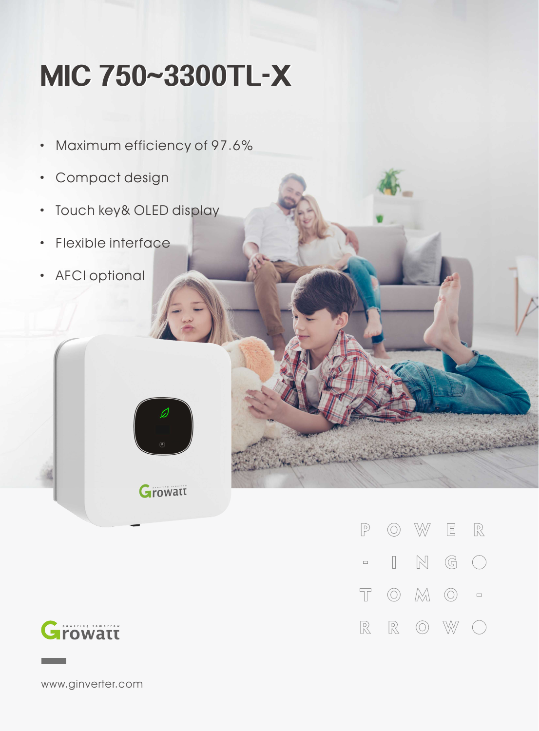## **MIC750~3300TL-X**

- · Maximum efficiency of 97.6%
- · Compact design
- · Touch key& OLED display
- · Flexible interface
- · AFCI optional







www.ginverter.com